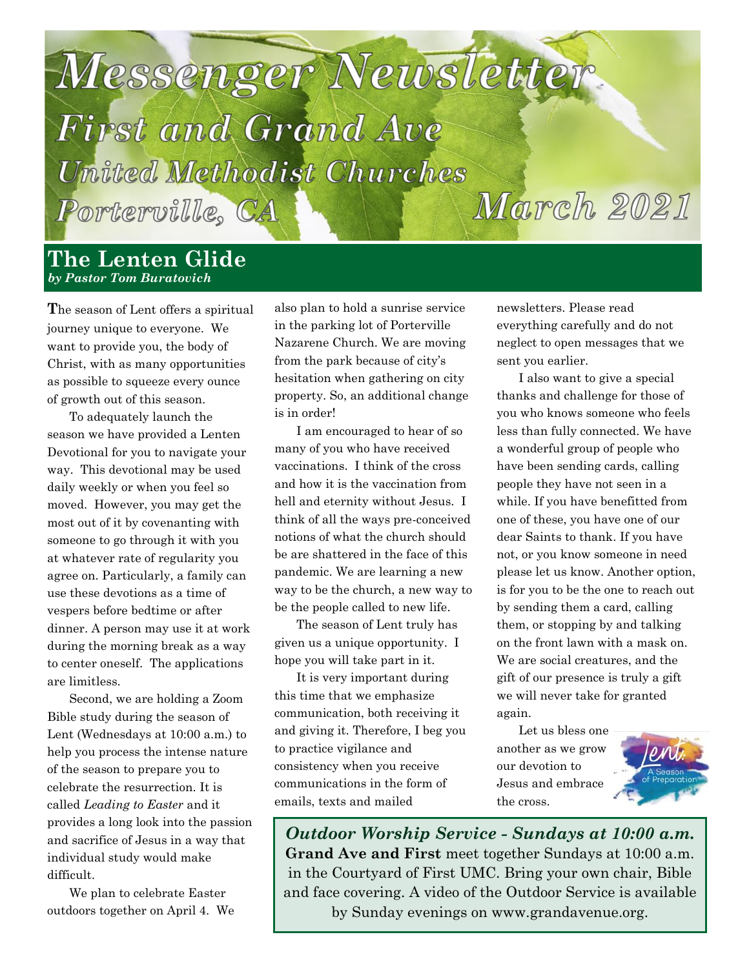

#### **The Lenten Glide** *by Pastor Tom Buratovich*

**T**he season of Lent offers a spiritual journey unique to everyone. We want to provide you, the body of Christ, with as many opportunities as possible to squeeze every ounce of growth out of this season.

To adequately launch the season we have provided a Lenten Devotional for you to navigate your way. This devotional may be used daily weekly or when you feel so moved. However, you may get the most out of it by covenanting with someone to go through it with you at whatever rate of regularity you agree on. Particularly, a family can use these devotions as a time of vespers before bedtime or after dinner. A person may use it at work during the morning break as a way to center oneself. The applications are limitless.

Second, we are holding a Zoom Bible study during the season of Lent (Wednesdays at 10:00 a.m.) to help you process the intense nature of the season to prepare you to celebrate the resurrection. It is called *Leading to Easter* and it provides a long look into the passion and sacrifice of Jesus in a way that individual study would make difficult.

We plan to celebrate Easter outdoors together on April 4. We

also plan to hold a sunrise service in the parking lot of Porterville Nazarene Church. We are moving from the park because of city's hesitation when gathering on city property. So, an additional change is in order!

I am encouraged to hear of so many of you who have received vaccinations. I think of the cross and how it is the vaccination from hell and eternity without Jesus. I think of all the ways pre-conceived notions of what the church should be are shattered in the face of this pandemic. We are learning a new way to be the church, a new way to be the people called to new life.

The season of Lent truly has given us a unique opportunity. I hope you will take part in it.

It is very important during this time that we emphasize communication, both receiving it and giving it. Therefore, I beg you to practice vigilance and consistency when you receive communications in the form of emails, texts and mailed

newsletters. Please read everything carefully and do not neglect to open messages that we sent you earlier.

I also want to give a special thanks and challenge for those of you who knows someone who feels less than fully connected. We have a wonderful group of people who have been sending cards, calling people they have not seen in a while. If you have benefitted from one of these, you have one of our dear Saints to thank. If you have not, or you know someone in need please let us know. Another option, is for you to be the one to reach out by sending them a card, calling them, or stopping by and talking on the front lawn with a mask on. We are social creatures, and the gift of our presence is truly a gift we will never take for granted again.

Let us bless one another as we grow our devotion to Jesus and embrace the cross.



*Outdoor Worship Service - Sundays at 10:00 a.m.* **Grand Ave and First** meet together Sundays at 10:00 a.m. in the Courtyard of First UMC. Bring your own chair, Bible and face covering. A video of the Outdoor Service is available by Sunday evenings on www.grandavenue.org.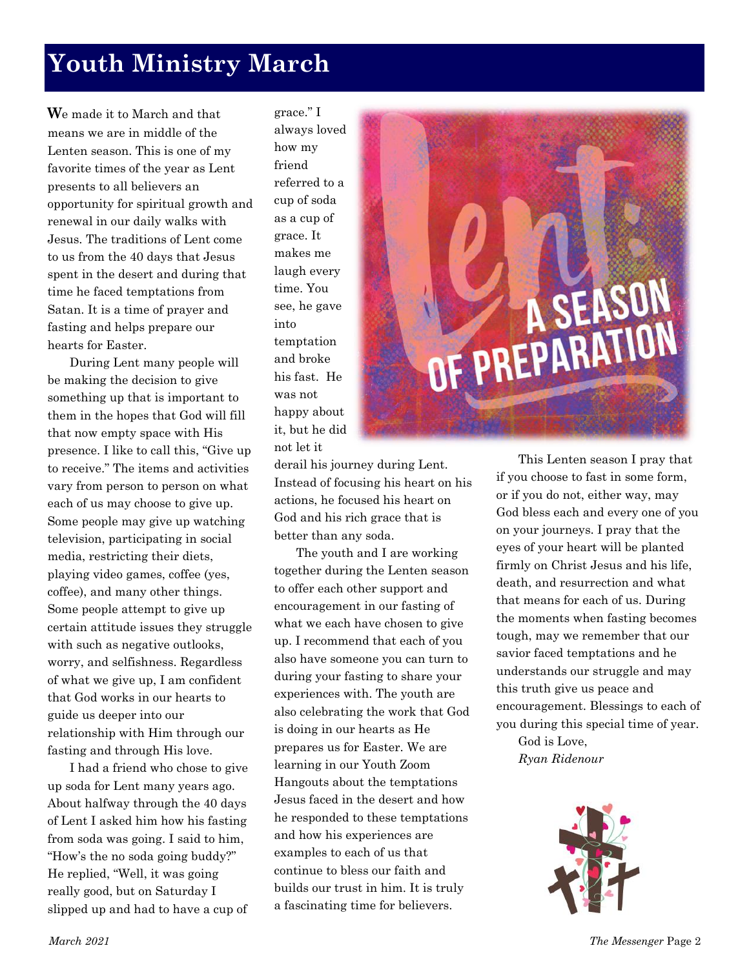# **Youth Ministry March**

**W**e made it to March and that means we are in middle of the Lenten season. This is one of my favorite times of the year as Lent presents to all believers an opportunity for spiritual growth and renewal in our daily walks with Jesus. The traditions of Lent come to us from the 40 days that Jesus spent in the desert and during that time he faced temptations from Satan. It is a time of prayer and fasting and helps prepare our hearts for Easter.

During Lent many people will be making the decision to give something up that is important to them in the hopes that God will fill that now empty space with His presence. I like to call this, "Give up to receive." The items and activities vary from person to person on what each of us may choose to give up. Some people may give up watching television, participating in social media, restricting their diets, playing video games, coffee (yes, coffee), and many other things. Some people attempt to give up certain attitude issues they struggle with such as negative outlooks, worry, and selfishness. Regardless of what we give up, I am confident that God works in our hearts to guide us deeper into our relationship with Him through our fasting and through His love.

I had a friend who chose to give up soda for Lent many years ago. About halfway through the 40 days of Lent I asked him how his fasting from soda was going. I said to him, "How's the no soda going buddy?" He replied, "Well, it was going really good, but on Saturday I slipped up and had to have a cup of grace." I always loved how my friend referred to a cup of soda as a cup of grace. It makes me laugh every time. You see, he gave into temptation and broke his fast. He was not happy about it, but he did not let it

derail his journey during Lent. Instead of focusing his heart on his actions, he focused his heart on God and his rich grace that is better than any soda.

The youth and I are working together during the Lenten season to offer each other support and encouragement in our fasting of what we each have chosen to give up. I recommend that each of you also have someone you can turn to during your fasting to share your experiences with. The youth are also celebrating the work that God is doing in our hearts as He prepares us for Easter. We are learning in our Youth Zoom Hangouts about the temptations Jesus faced in the desert and how he responded to these temptations and how his experiences are examples to each of us that continue to bless our faith and builds our trust in him. It is truly a fascinating time for believers.

# SEASON F PREPARAT

This Lenten season I pray that if you choose to fast in some form, or if you do not, either way, may God bless each and every one of you on your journeys. I pray that the eyes of your heart will be planted firmly on Christ Jesus and his life, death, and resurrection and what that means for each of us. During the moments when fasting becomes tough, may we remember that our savior faced temptations and he understands our struggle and may this truth give us peace and encouragement. Blessings to each of you during this special time of year.

God is Love, *Ryan Ridenour*

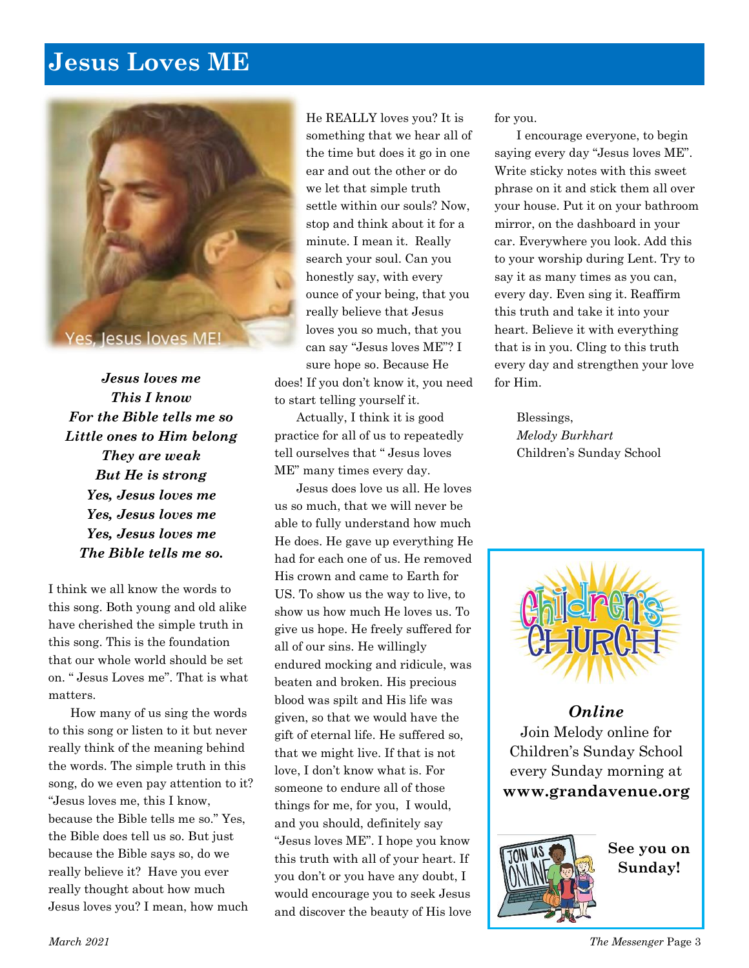## **Jesus Loves ME**



*Jesus loves me This I know For the Bible tells me so Little ones to Him belong They are weak But He is strong Yes, Jesus loves me Yes, Jesus loves me Yes, Jesus loves me The Bible tells me so.*

I think we all know the words to this song. Both young and old alike have cherished the simple truth in this song. This is the foundation that our whole world should be set on. " Jesus Loves me". That is what matters.

How many of us sing the words to this song or listen to it but never really think of the meaning behind the words. The simple truth in this song, do we even pay attention to it? "Jesus loves me, this I know, because the Bible tells me so." Yes, the Bible does tell us so. But just because the Bible says so, do we really believe it? Have you ever really thought about how much Jesus loves you? I mean, how much

He REALLY loves you? It is something that we hear all of the time but does it go in one ear and out the other or do we let that simple truth settle within our souls? Now, stop and think about it for a minute. I mean it. Really search your soul. Can you honestly say, with every ounce of your being, that you really believe that Jesus loves you so much, that you can say "Jesus loves ME"? I sure hope so. Because He

does! If you don't know it, you need to start telling yourself it.

Actually, I think it is good practice for all of us to repeatedly tell ourselves that " Jesus loves ME" many times every day.

Jesus does love us all. He loves us so much, that we will never be able to fully understand how much He does. He gave up everything He had for each one of us. He removed His crown and came to Earth for US. To show us the way to live, to show us how much He loves us. To give us hope. He freely suffered for all of our sins. He willingly endured mocking and ridicule, was beaten and broken. His precious blood was spilt and His life was given, so that we would have the gift of eternal life. He suffered so, that we might live. If that is not love, I don't know what is. For someone to endure all of those things for me, for you, I would, and you should, definitely say "Jesus loves ME". I hope you know this truth with all of your heart. If you don't or you have any doubt, I would encourage you to seek Jesus and discover the beauty of His love

for you.

I encourage everyone, to begin saying every day "Jesus loves ME". Write sticky notes with this sweet phrase on it and stick them all over your house. Put it on your bathroom mirror, on the dashboard in your car. Everywhere you look. Add this to your worship during Lent. Try to say it as many times as you can, every day. Even sing it. Reaffirm this truth and take it into your heart. Believe it with everything that is in you. Cling to this truth every day and strengthen your love for Him.

> Blessings, *Melody Burkhart* Children's Sunday School



*Online* Join Melody online for Children's Sunday School every Sunday morning at **www[.grandavenue.org](http://grandavenue.org/)**



**See you on Sunday!**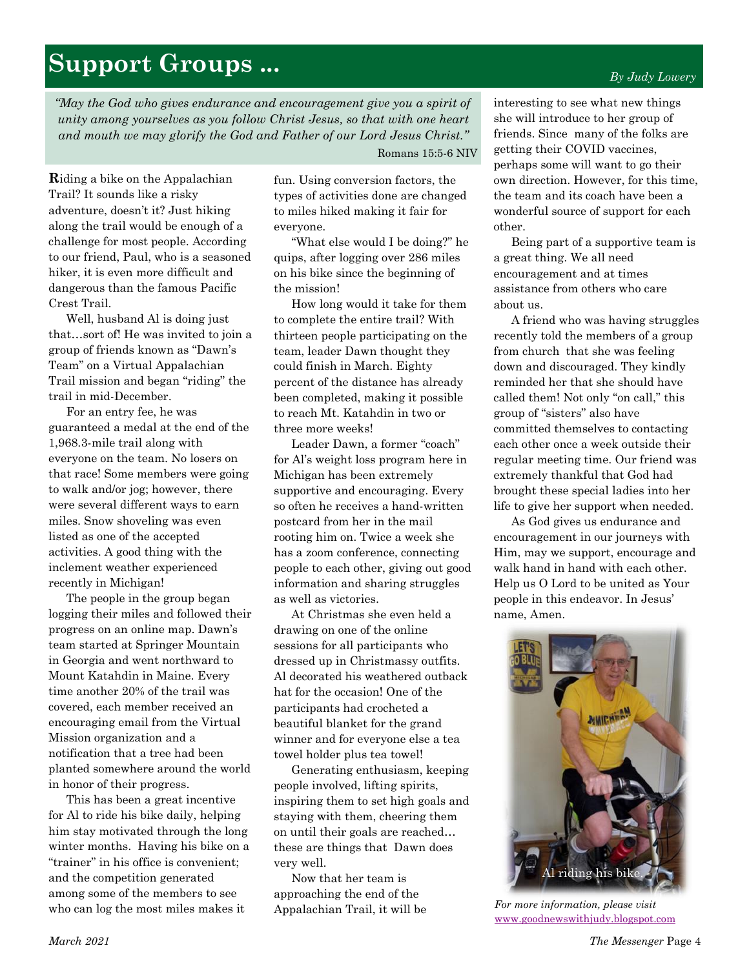#### *By Judy Lowery*

# **Support Groups ...**

*"May the God who gives endurance and encouragement give you a spirit of unity among yourselves as you follow Christ Jesus, so that with one heart and mouth we may glorify the God and Father of our Lord Jesus Christ."* 

Romans 15:5-6 NIV

**R**iding a bike on the Appalachian Trail? It sounds like a risky adventure, doesn't it? Just hiking along the trail would be enough of a challenge for most people. According to our friend, Paul, who is a seasoned hiker, it is even more difficult and dangerous than the famous Pacific Crest Trail.

Well, husband Al is doing just that…sort of! He was invited to join a group of friends known as "Dawn's Team" on a Virtual Appalachian Trail mission and began "riding" the trail in mid-December.

For an entry fee, he was guaranteed a medal at the end of the 1,968.3-mile trail along with everyone on the team. No losers on that race! Some members were going to walk and/or jog; however, there were several different ways to earn miles. Snow shoveling was even listed as one of the accepted activities. A good thing with the inclement weather experienced recently in Michigan!

The people in the group began logging their miles and followed their progress on an online map. Dawn's team started at Springer Mountain in Georgia and went northward to Mount Katahdin in Maine. Every time another 20% of the trail was covered, each member received an encouraging email from the Virtual Mission organization and a notification that a tree had been planted somewhere around the world in honor of their progress.

This has been a great incentive for Al to ride his bike daily, helping him stay motivated through the long winter months. Having his bike on a "trainer" in his office is convenient; and the competition generated among some of the members to see who can log the most miles makes it

fun. Using conversion factors, the types of activities done are changed to miles hiked making it fair for everyone.

"What else would I be doing?" he quips, after logging over 286 miles on his bike since the beginning of the mission!

How long would it take for them to complete the entire trail? With thirteen people participating on the team, leader Dawn thought they could finish in March. Eighty percent of the distance has already been completed, making it possible to reach Mt. Katahdin in two or three more weeks!

Leader Dawn, a former "coach" for Al's weight loss program here in Michigan has been extremely supportive and encouraging. Every so often he receives a hand-written postcard from her in the mail rooting him on. Twice a week she has a zoom conference, connecting people to each other, giving out good information and sharing struggles as well as victories.

At Christmas she even held a drawing on one of the online sessions for all participants who dressed up in Christmassy outfits. Al decorated his weathered outback hat for the occasion! One of the participants had crocheted a beautiful blanket for the grand winner and for everyone else a tea towel holder plus tea towel!

Generating enthusiasm, keeping people involved, lifting spirits, inspiring them to set high goals and staying with them, cheering them on until their goals are reached… these are things that Dawn does very well.

Now that her team is approaching the end of the Appalachian Trail, it will be interesting to see what new things she will introduce to her group of friends. Since many of the folks are getting their COVID vaccines, perhaps some will want to go their own direction. However, for this time, the team and its coach have been a wonderful source of support for each other.

Being part of a supportive team is a great thing. We all need encouragement and at times assistance from others who care about us.

A friend who was having struggles recently told the members of a group from church that she was feeling down and discouraged. They kindly reminded her that she should have called them! Not only "on call," this group of "sisters" also have committed themselves to contacting each other once a week outside their regular meeting time. Our friend was extremely thankful that God had brought these special ladies into her life to give her support when needed.

As God gives us endurance and encouragement in our journeys with Him, may we support, encourage and walk hand in hand with each other. Help us O Lord to be united as Your people in this endeavor. In Jesus' name, Amen.



*For more information, please visit*  [www.goodnewswithjudy.blogspot.com](http://www.goodnewswithjudy.blogspot.com/)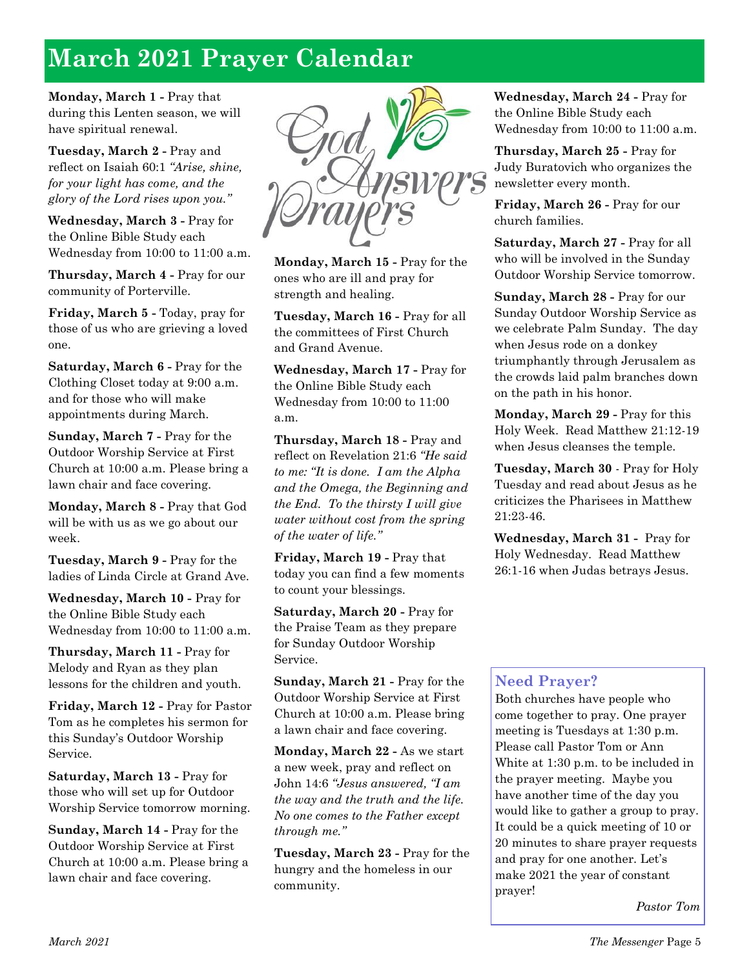# **March 2021 Prayer Calendar**

**Monday, March 1 -** Pray that during this Lenten season, we will have spiritual renewal.

**Tuesday, March 2 -** Pray and reflect on Isaiah 60:1 *"Arise, shine, for your light has come, and the glory of the Lord rises upon you."*

**Wednesday, March 3 -** Pray for the Online Bible Study each Wednesday from 10:00 to 11:00 a.m.

**Thursday, March 4 -** Pray for our community of Porterville.

**Friday, March 5 -** Today, pray for those of us who are grieving a loved one.

**Saturday, March 6 -** Pray for the Clothing Closet today at 9:00 a.m. and for those who will make appointments during March.

**Sunday, March 7 -** Pray for the Outdoor Worship Service at First Church at 10:00 a.m. Please bring a lawn chair and face covering.

**Monday, March 8 -** Pray that God will be with us as we go about our week.

**Tuesday, March 9 -** Pray for the ladies of Linda Circle at Grand Ave.

**Wednesday, March 10 -** Pray for the Online Bible Study each Wednesday from 10:00 to 11:00 a.m.

**Thursday, March 11 -** Pray for Melody and Ryan as they plan lessons for the children and youth.

**Friday, March 12 -** Pray for Pastor Tom as he completes his sermon for this Sunday's Outdoor Worship Service.

**Saturday, March 13 -** Pray for those who will set up for Outdoor Worship Service tomorrow morning.

**Sunday, March 14 -** Pray for the Outdoor Worship Service at First Church at 10:00 a.m. Please bring a lawn chair and face covering.



**Monday, March 15 -** Pray for the ones who are ill and pray for strength and healing.

**Tuesday, March 16 -** Pray for all the committees of First Church and Grand Avenue.

**Wednesday, March 17 -** Pray for the Online Bible Study each Wednesday from 10:00 to 11:00 a.m.

**Thursday, March 18 -** Pray and reflect on Revelation 21:6 *"He said to me: "It is done. I am the Alpha and the Omega, the Beginning and the End. To the thirsty I will give water without cost from the spring of the water of life."*

**Friday, March 19 -** Pray that today you can find a few moments to count your blessings.

**Saturday, March 20 -** Pray for the Praise Team as they prepare for Sunday Outdoor Worship Service.

**Sunday, March 21 -** Pray for the Outdoor Worship Service at First Church at 10:00 a.m. Please bring a lawn chair and face covering.

**Monday, March 22 -** As we start a new week, pray and reflect on John 14:6 *"Jesus answered, "I am the way and the truth and the life. No one comes to the Father except through me."*

**Tuesday, March 23 -** Pray for the hungry and the homeless in our community.

**Wednesday, March 24 -** Pray for the Online Bible Study each Wednesday from 10:00 to 11:00 a.m.

**Thursday, March 25 -** Pray for Judy Buratovich who organizes the newsletter every month.

**Friday, March 26 -** Pray for our church families.

**Saturday, March 27 -** Pray for all who will be involved in the Sunday Outdoor Worship Service tomorrow.

**Sunday, March 28 -** Pray for our Sunday Outdoor Worship Service as we celebrate Palm Sunday. The day when Jesus rode on a donkey triumphantly through Jerusalem as the crowds laid palm branches down on the path in his honor.

**Monday, March 29 -** Pray for this Holy Week. Read Matthew 21:12-19 when Jesus cleanses the temple.

**Tuesday, March 30** - Pray for Holy Tuesday and read about Jesus as he criticizes the Pharisees in Matthew 21:23-46.

**Wednesday, March 31 -** Pray for Holy Wednesday. Read Matthew 26:1-16 when Judas betrays Jesus.

#### **Need Prayer?**

Both churches have people who come together to pray. One prayer meeting is Tuesdays at 1:30 p.m. Please call Pastor Tom or Ann White at 1:30 p.m. to be included in the prayer meeting. Maybe you have another time of the day you would like to gather a group to pray. It could be a quick meeting of 10 or 20 minutes to share prayer requests and pray for one another. Let's make 2021 the year of constant prayer!

*Pastor Tom*